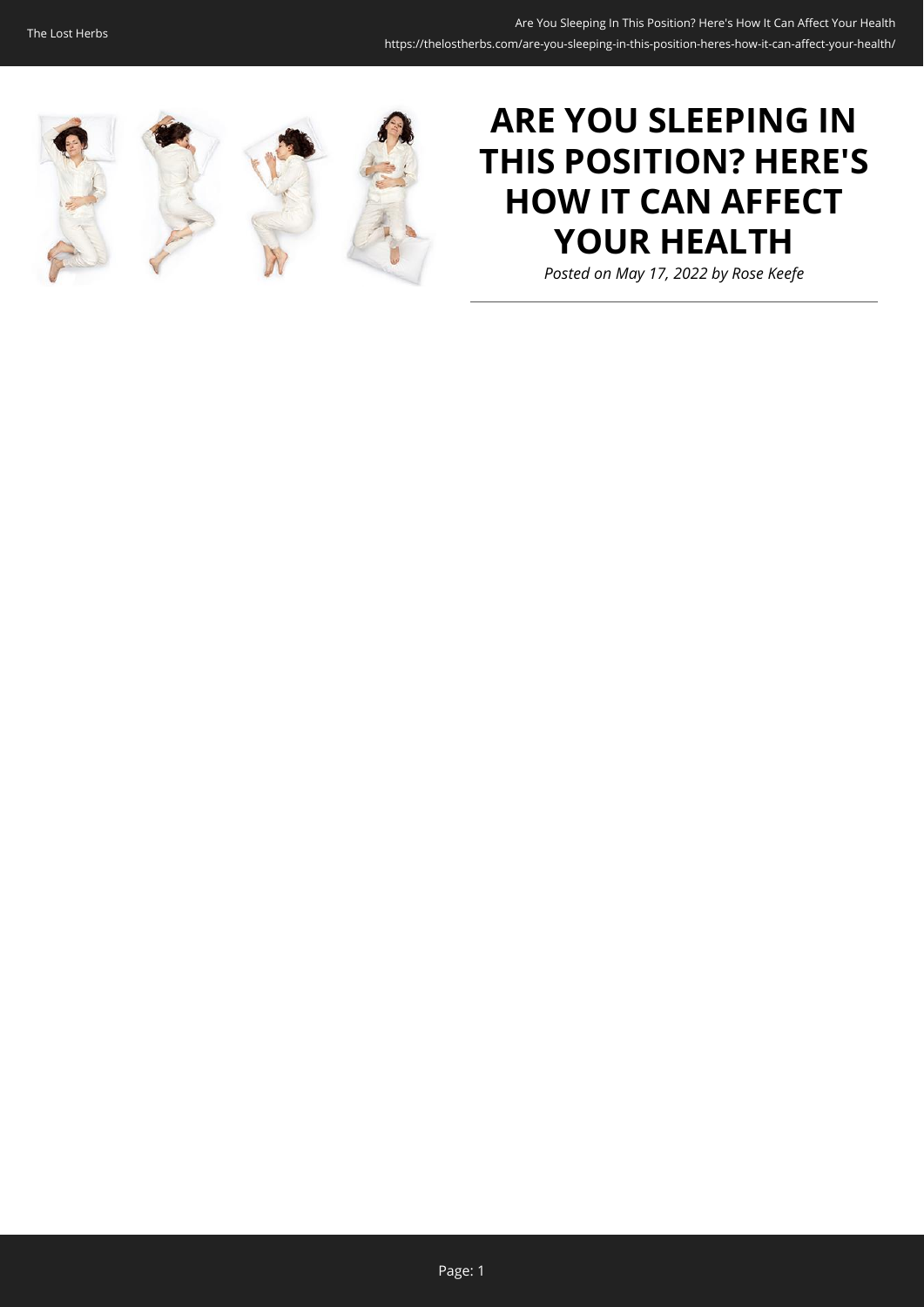

# **ARE YOU SLEEPING IN THIS POSITION? HERE'S HOW IT CAN AFFECT YOUR HEALTH**

*Posted on May 17, 2022 by Rose Keefe*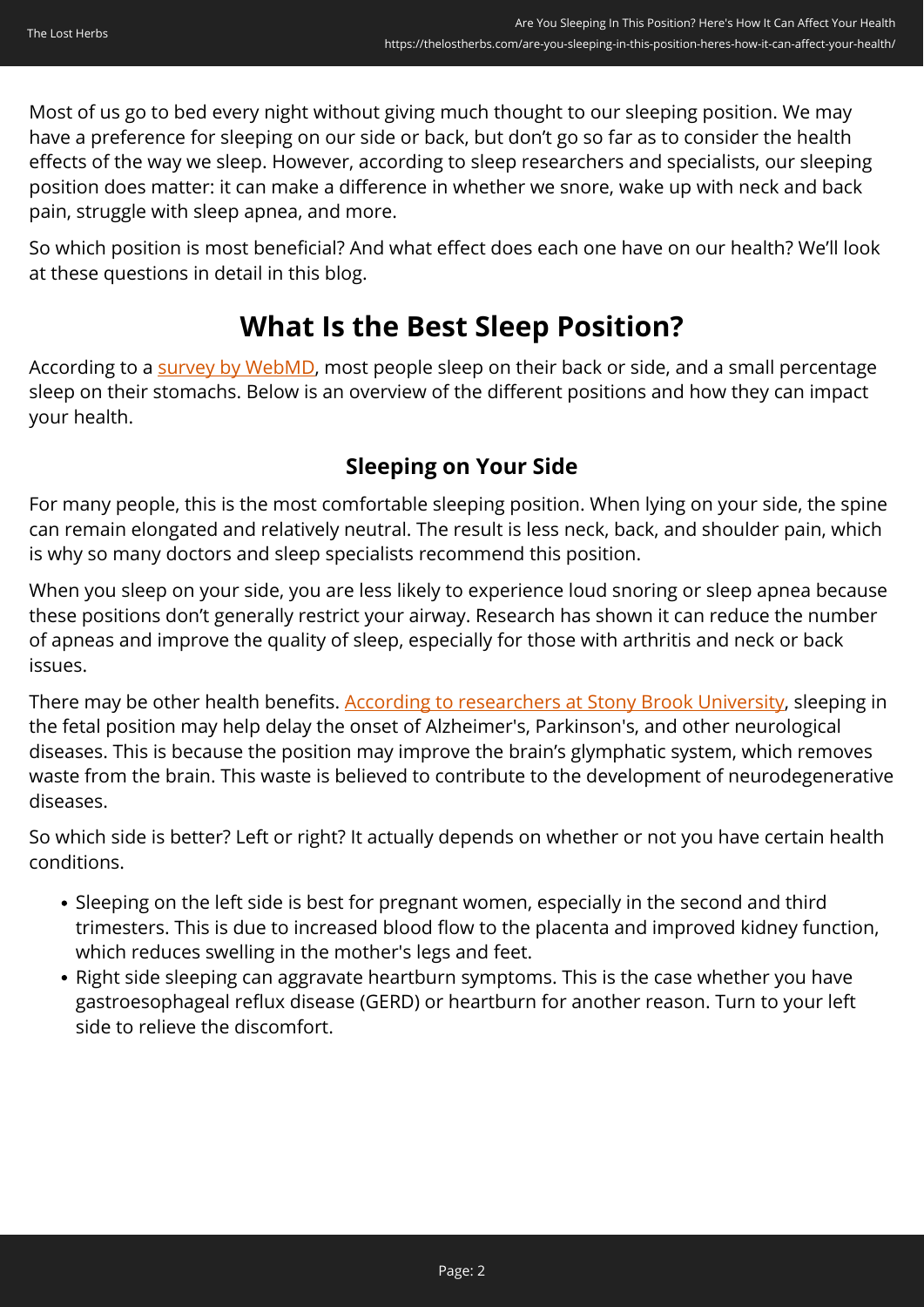Most of us go to bed every night without giving much thought to our sleeping position. We may have a preference for sleeping on our side or back, but don't go so far as to consider the health effects of the way we sleep. However, according to sleep researchers and specialists, our sleeping position does matter: it can make a difference in whether we snore, wake up with neck and back pain, struggle with sleep apnea, and more.

So which position is most beneficial? And what effect does each one have on our health? We'll look at these questions in detail in this blog.

## **What Is the Best Sleep Position?**

According to a [survey by WebMD,](https://www.webmd.com/sleep-disorders/best-sleep-positions) most people sleep on their back or side, and a small percentage sleep on their stomachs. Below is an overview of the different positions and how they can impact your health.

## **Sleeping on Your Side**

For many people, this is the most comfortable sleeping position. When lying on your side, the spine can remain elongated and relatively neutral. The result is less neck, back, and shoulder pain, which is why so many doctors and sleep specialists recommend this position.

When you sleep on your side, you are less likely to experience loud snoring or sleep apnea because these positions don't generally restrict your airway. Research has shown it can reduce the number of apneas and improve the quality of sleep, especially for those with arthritis and neck or back issues.

There may be other health benefits. [According to researchers at Stony Brook University,](https://www.sciencedaily.com/releases/2015/08/150804203440.htm) sleeping in the fetal position may help delay the onset of Alzheimer's, Parkinson's, and other neurological diseases. This is because the position may improve the brain's glymphatic system, which removes waste from the brain. This waste is believed to contribute to the development of neurodegenerative diseases.

So which side is better? Left or right? It actually depends on whether or not you have certain health conditions.

- Sleeping on the left side is best for pregnant women, especially in the second and third trimesters. This is due to increased blood flow to the placenta and improved kidney function, which reduces swelling in the mother's legs and feet.
- Right side sleeping can aggravate heartburn symptoms. This is the case whether you have gastroesophageal reflux disease (GERD) or heartburn for another reason. Turn to your left side to relieve the discomfort.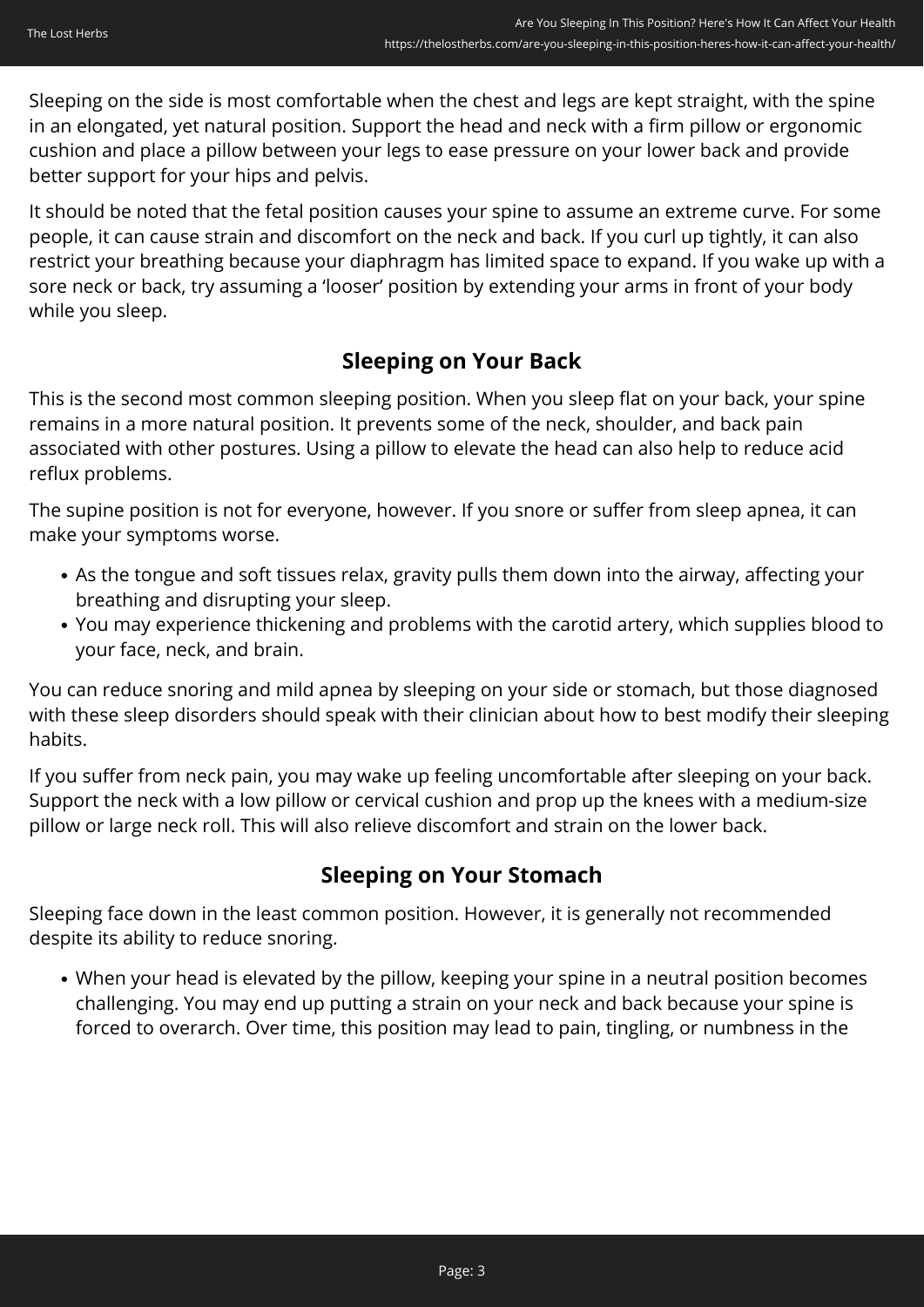Sleeping on the side is most comfortable when the chest and legs are kept straight, with the spine in an elongated, yet natural position. Support the head and neck with a firm pillow or ergonomic cushion and place a pillow between your legs to ease pressure on your lower back and provide better support for your hips and pelvis.

It should be noted that the fetal position causes your spine to assume an extreme curve. For some people, it can cause strain and discomfort on the neck and back. If you curl up tightly, it can also restrict your breathing because your diaphragm has limited space to expand. If you wake up with a sore neck or back, try assuming a 'looser' position by extending your arms in front of your body while you sleep.

## **Sleeping on Your Back**

This is the second most common sleeping position. When you sleep flat on your back, your spine remains in a more natural position. It prevents some of the neck, shoulder, and back pain associated with other postures. Using a pillow to elevate the head can also help to reduce acid reflux problems.

The supine position is not for everyone, however. If you snore or suffer from sleep apnea, it can make your symptoms worse.

- As the tongue and soft tissues relax, gravity pulls them down into the airway, affecting your breathing and disrupting your sleep.
- You may experience thickening and problems with the carotid artery, which supplies blood to your face, neck, and brain.

You can reduce snoring and mild apnea by sleeping on your side or stomach, but those diagnosed with these sleep disorders should speak with their clinician about how to best modify their sleeping habits.

If you suffer from neck pain, you may wake up feeling uncomfortable after sleeping on your back. Support the neck with a low pillow or cervical cushion and prop up the knees with a medium-size pillow or large neck roll. This will also relieve discomfort and strain on the lower back.

### **Sleeping on Your Stomach**

Sleeping face down in the least common position. However, it is generally not recommended despite its ability to reduce snoring.

When your head is elevated by the pillow, keeping your spine in a neutral position becomes challenging. You may end up putting a strain on your neck and back because your spine is forced to overarch. Over time, this position may lead to pain, tingling, or numbness in the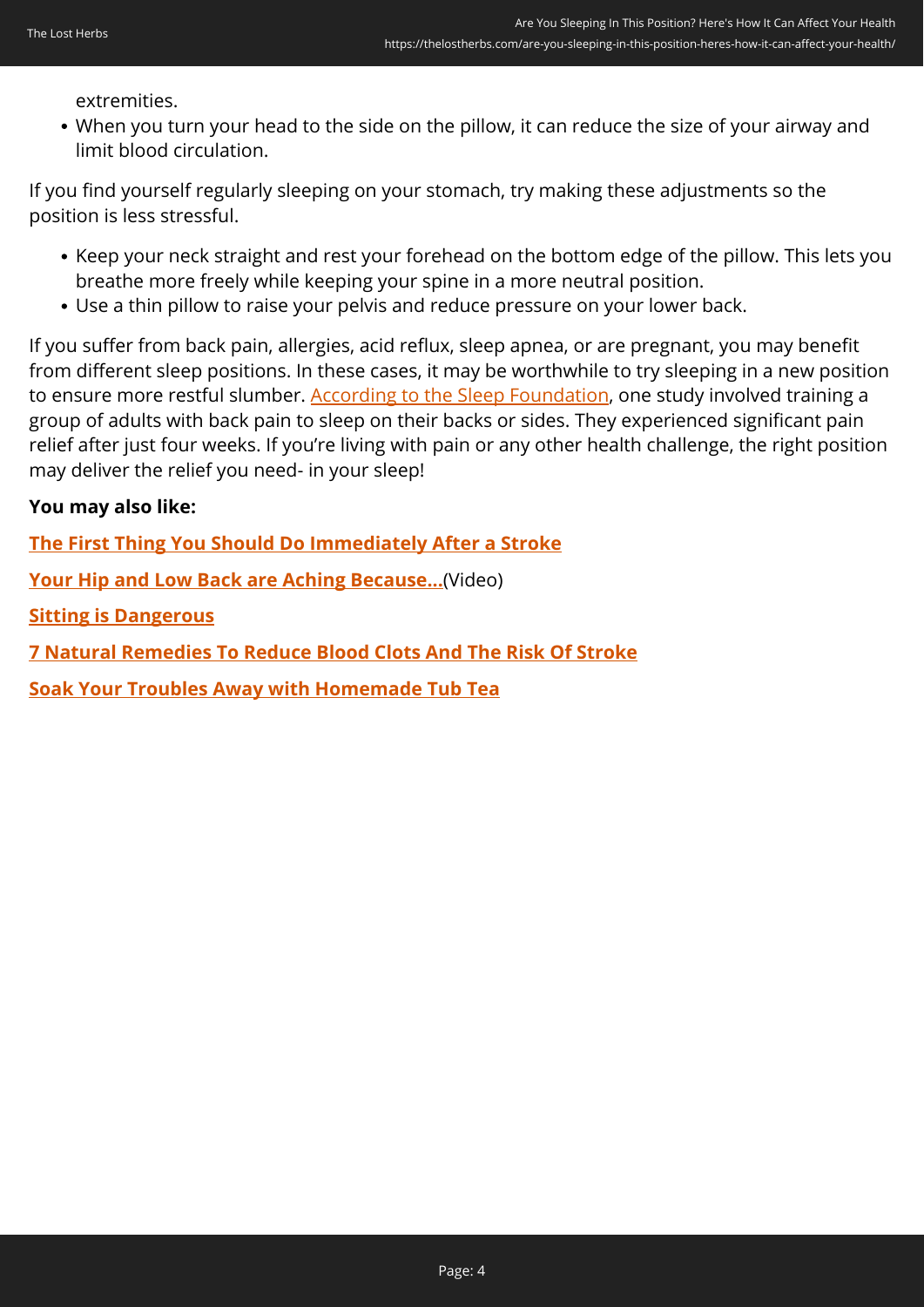extremities.

When you turn your head to the side on the pillow, it can reduce the size of your airway and limit blood circulation.

If you find yourself regularly sleeping on your stomach, try making these adjustments so the position is less stressful.

- Keep your neck straight and rest your forehead on the bottom edge of the pillow. This lets you breathe more freely while keeping your spine in a more neutral position.
- Use a thin pillow to raise your pelvis and reduce pressure on your lower back.

If you suffer from back pain, allergies, acid reflux, sleep apnea, or are pregnant, you may benefit from different sleep positions. In these cases, it may be worthwhile to try sleeping in a new position to ensure more restful slumber. [According to the Sleep Foundation,](https://www.sleepfoundation.org/sleeping-positions) one study involved training a group of adults with back pain to sleep on their backs or sides. They experienced significant pain relief after just four weeks. If you're living with pain or any other health challenge, the right position may deliver the relief you need- in your sleep!

### **You may also like:**

**[The First Thing You Should Do Immediately After a Stroke](https://thelostherbs.com/the-first-thing-you-should-do-immediately-after-a-stroke/)**

**[Your Hip and Low Back are Aching Because...](https://hop.clickbank.net/?vendor=painfix&affiliate=easycellar&tid=C02SleepingPositionHPF)**(Video)

**[Sitting is Dangerous](https://thelostherbs.com/sitting-is-dangerous/)**

**[7 Natural Remedies To Reduce Blood Clots And The Risk Of Stroke](https://thelostherbs.com/7-natural-remedies-to-reduce-blood-clots-and-the-risk-of-stroke/)**

**[Soak Your Troubles Away with Homemade Tub Tea](https://thelostherbs.com/soak-your-troubles-away-with-homemade-tub-tea/)**